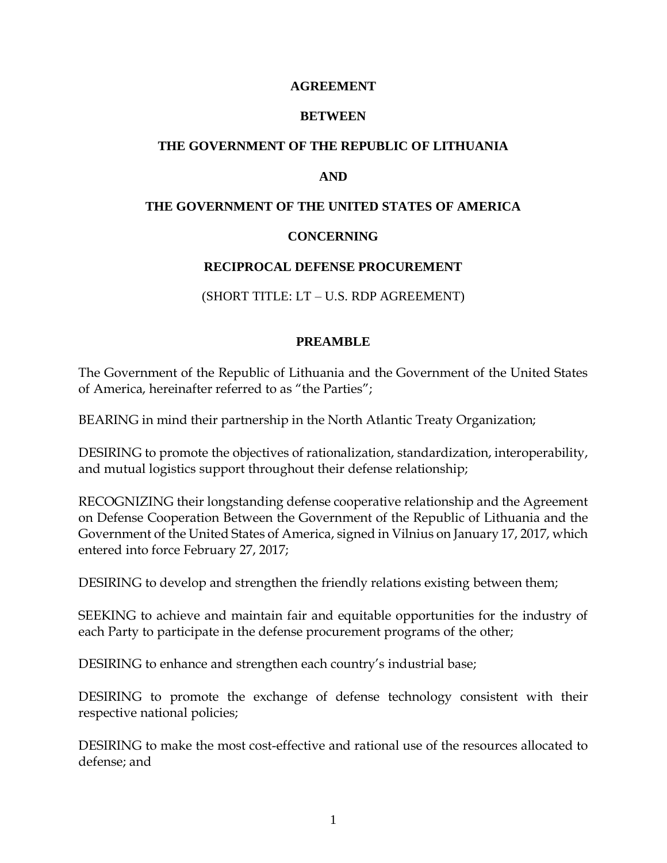#### **AGREEMENT**

## **BETWEEN**

## **THE GOVERNMENT OF THE REPUBLIC OF LITHUANIA**

## **AND**

#### **THE GOVERNMENT OF THE UNITED STATES OF AMERICA**

## **CONCERNING**

#### **RECIPROCAL DEFENSE PROCUREMENT**

(SHORT TITLE: LT – U.S. RDP AGREEMENT)

## **PREAMBLE**

The Government of the Republic of Lithuania and the Government of the United States of America, hereinafter referred to as "the Parties";

BEARING in mind their partnership in the North Atlantic Treaty Organization;

DESIRING to promote the objectives of rationalization, standardization, interoperability, and mutual logistics support throughout their defense relationship;

RECOGNIZING their longstanding defense cooperative relationship and the Agreement on Defense Cooperation Between the Government of the Republic of Lithuania and the Government of the United States of America, signed in Vilnius on January 17, 2017, which entered into force February 27, 2017;

DESIRING to develop and strengthen the friendly relations existing between them;

SEEKING to achieve and maintain fair and equitable opportunities for the industry of each Party to participate in the defense procurement programs of the other;

DESIRING to enhance and strengthen each country's industrial base;

DESIRING to promote the exchange of defense technology consistent with their respective national policies;

DESIRING to make the most cost-effective and rational use of the resources allocated to defense; and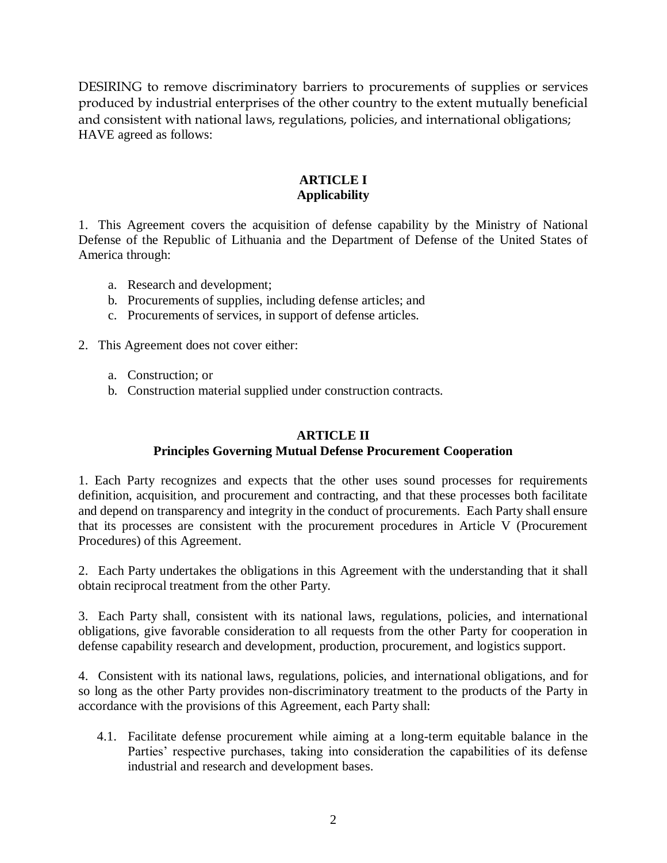DESIRING to remove discriminatory barriers to procurements of supplies or services produced by industrial enterprises of the other country to the extent mutually beneficial and consistent with national laws, regulations, policies, and international obligations; HAVE agreed as follows:

## **ARTICLE I Applicability**

1. This Agreement covers the acquisition of defense capability by the Ministry of National Defense of the Republic of Lithuania and the Department of Defense of the United States of America through:

- a. Research and development;
- b. Procurements of supplies, including defense articles; and
- c. Procurements of services, in support of defense articles.
- 2. This Agreement does not cover either:
	- a. Construction; or
	- b. Construction material supplied under construction contracts.

# **ARTICLE II**

## **Principles Governing Mutual Defense Procurement Cooperation**

1. Each Party recognizes and expects that the other uses sound processes for requirements definition, acquisition, and procurement and contracting, and that these processes both facilitate and depend on transparency and integrity in the conduct of procurements. Each Party shall ensure that its processes are consistent with the procurement procedures in Article V (Procurement Procedures) of this Agreement.

2. Each Party undertakes the obligations in this Agreement with the understanding that it shall obtain reciprocal treatment from the other Party.

3. Each Party shall, consistent with its national laws, regulations, policies, and international obligations, give favorable consideration to all requests from the other Party for cooperation in defense capability research and development, production, procurement, and logistics support.

4. Consistent with its national laws, regulations, policies, and international obligations, and for so long as the other Party provides non-discriminatory treatment to the products of the Party in accordance with the provisions of this Agreement, each Party shall:

4.1. Facilitate defense procurement while aiming at a long-term equitable balance in the Parties' respective purchases, taking into consideration the capabilities of its defense industrial and research and development bases.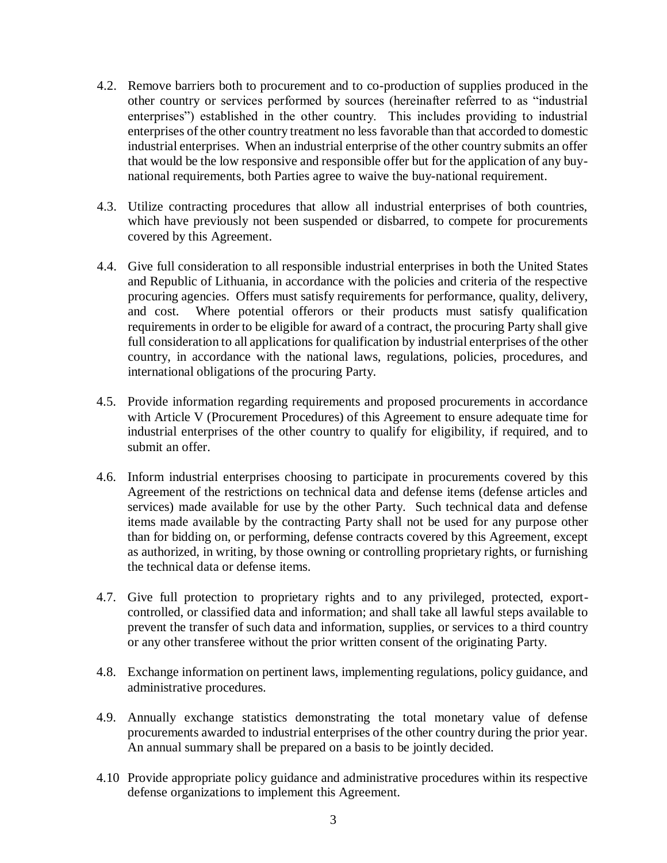- 4.2. Remove barriers both to procurement and to co-production of supplies produced in the other country or services performed by sources (hereinafter referred to as "industrial enterprises") established in the other country. This includes providing to industrial enterprises of the other country treatment no less favorable than that accorded to domestic industrial enterprises. When an industrial enterprise of the other country submits an offer that would be the low responsive and responsible offer but for the application of any buynational requirements, both Parties agree to waive the buy-national requirement.
- 4.3. Utilize contracting procedures that allow all industrial enterprises of both countries, which have previously not been suspended or disbarred, to compete for procurements covered by this Agreement.
- 4.4. Give full consideration to all responsible industrial enterprises in both the United States and Republic of Lithuania, in accordance with the policies and criteria of the respective procuring agencies. Offers must satisfy requirements for performance, quality, delivery, and cost. Where potential offerors or their products must satisfy qualification requirements in order to be eligible for award of a contract, the procuring Party shall give full consideration to all applications for qualification by industrial enterprises of the other country, in accordance with the national laws, regulations, policies, procedures, and international obligations of the procuring Party.
- 4.5. Provide information regarding requirements and proposed procurements in accordance with Article V (Procurement Procedures) of this Agreement to ensure adequate time for industrial enterprises of the other country to qualify for eligibility, if required, and to submit an offer.
- 4.6. Inform industrial enterprises choosing to participate in procurements covered by this Agreement of the restrictions on technical data and defense items (defense articles and services) made available for use by the other Party. Such technical data and defense items made available by the contracting Party shall not be used for any purpose other than for bidding on, or performing, defense contracts covered by this Agreement, except as authorized, in writing, by those owning or controlling proprietary rights, or furnishing the technical data or defense items.
- 4.7. Give full protection to proprietary rights and to any privileged, protected, exportcontrolled, or classified data and information; and shall take all lawful steps available to prevent the transfer of such data and information, supplies, or services to a third country or any other transferee without the prior written consent of the originating Party.
- 4.8. Exchange information on pertinent laws, implementing regulations, policy guidance, and administrative procedures.
- 4.9. Annually exchange statistics demonstrating the total monetary value of defense procurements awarded to industrial enterprises of the other country during the prior year. An annual summary shall be prepared on a basis to be jointly decided.
- 4.10 Provide appropriate policy guidance and administrative procedures within its respective defense organizations to implement this Agreement.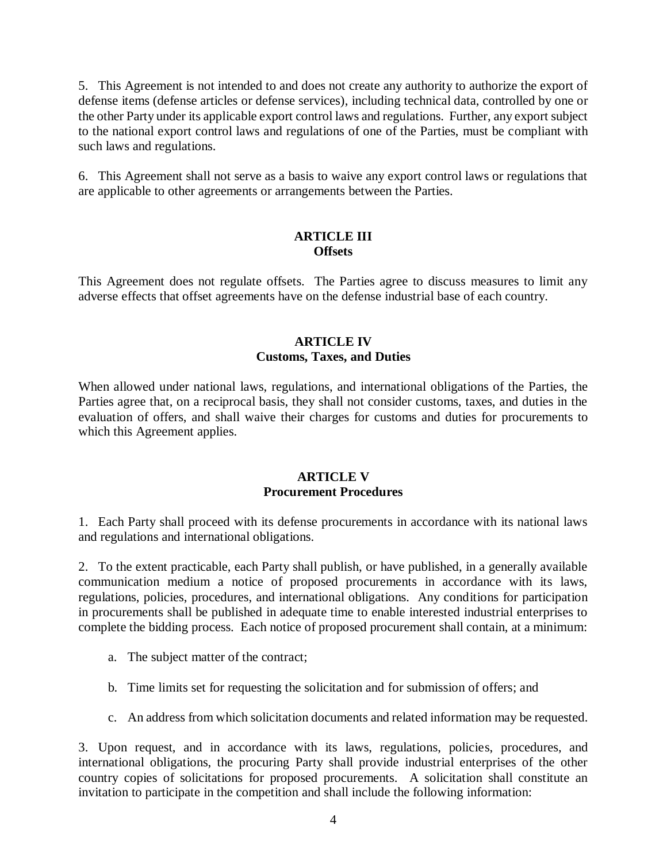5. This Agreement is not intended to and does not create any authority to authorize the export of defense items (defense articles or defense services), including technical data, controlled by one or the other Party under its applicable export control laws and regulations. Further, any export subject to the national export control laws and regulations of one of the Parties, must be compliant with such laws and regulations.

6. This Agreement shall not serve as a basis to waive any export control laws or regulations that are applicable to other agreements or arrangements between the Parties.

#### **ARTICLE III Offsets**

This Agreement does not regulate offsets. The Parties agree to discuss measures to limit any adverse effects that offset agreements have on the defense industrial base of each country.

## **ARTICLE IV Customs, Taxes, and Duties**

When allowed under national laws, regulations, and international obligations of the Parties, the Parties agree that, on a reciprocal basis, they shall not consider customs, taxes, and duties in the evaluation of offers, and shall waive their charges for customs and duties for procurements to which this Agreement applies.

## **ARTICLE V Procurement Procedures**

1. Each Party shall proceed with its defense procurements in accordance with its national laws and regulations and international obligations.

2. To the extent practicable, each Party shall publish, or have published, in a generally available communication medium a notice of proposed procurements in accordance with its laws, regulations, policies, procedures, and international obligations. Any conditions for participation in procurements shall be published in adequate time to enable interested industrial enterprises to complete the bidding process. Each notice of proposed procurement shall contain, at a minimum:

- a. The subject matter of the contract;
- b. Time limits set for requesting the solicitation and for submission of offers; and
- c. An address from which solicitation documents and related information may be requested.

3. Upon request, and in accordance with its laws, regulations, policies, procedures, and international obligations, the procuring Party shall provide industrial enterprises of the other country copies of solicitations for proposed procurements. A solicitation shall constitute an invitation to participate in the competition and shall include the following information: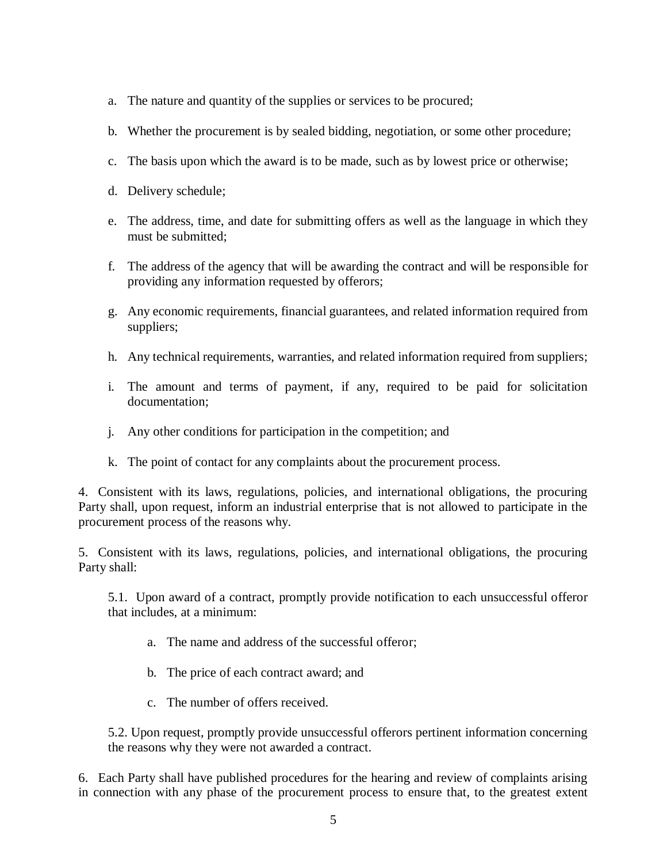- a. The nature and quantity of the supplies or services to be procured;
- b. Whether the procurement is by sealed bidding, negotiation, or some other procedure;
- c. The basis upon which the award is to be made, such as by lowest price or otherwise;
- d. Delivery schedule;
- e. The address, time, and date for submitting offers as well as the language in which they must be submitted;
- f. The address of the agency that will be awarding the contract and will be responsible for providing any information requested by offerors;
- g. Any economic requirements, financial guarantees, and related information required from suppliers;
- h. Any technical requirements, warranties, and related information required from suppliers;
- i. The amount and terms of payment, if any, required to be paid for solicitation documentation;
- j. Any other conditions for participation in the competition; and
- k. The point of contact for any complaints about the procurement process.

4. Consistent with its laws, regulations, policies, and international obligations, the procuring Party shall, upon request, inform an industrial enterprise that is not allowed to participate in the procurement process of the reasons why.

5. Consistent with its laws, regulations, policies, and international obligations, the procuring Party shall:

5.1. Upon award of a contract, promptly provide notification to each unsuccessful offeror that includes, at a minimum:

- a. The name and address of the successful offeror;
- b. The price of each contract award; and
- c. The number of offers received.

5.2. Upon request, promptly provide unsuccessful offerors pertinent information concerning the reasons why they were not awarded a contract.

6. Each Party shall have published procedures for the hearing and review of complaints arising in connection with any phase of the procurement process to ensure that, to the greatest extent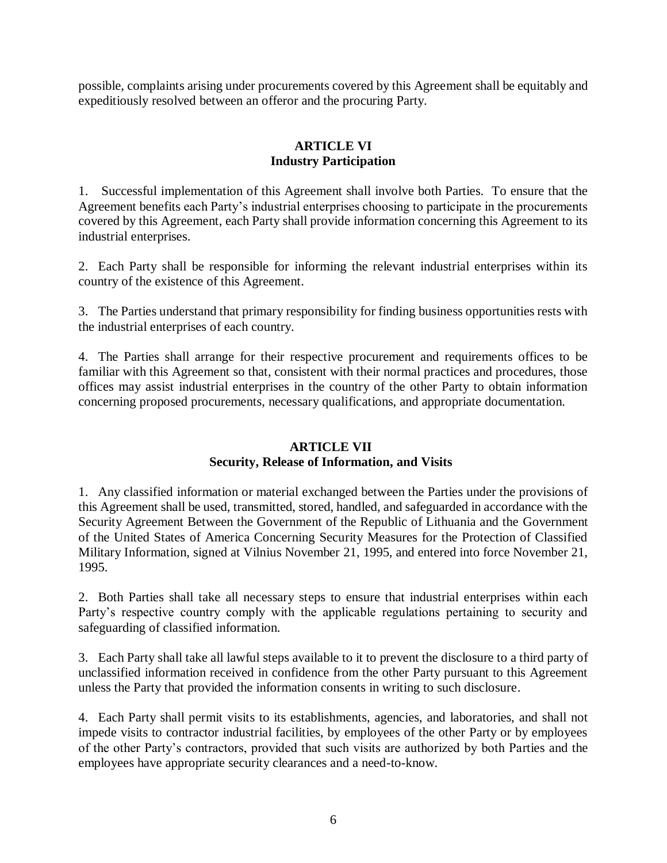possible, complaints arising under procurements covered by this Agreement shall be equitably and expeditiously resolved between an offeror and the procuring Party.

## **ARTICLE VI Industry Participation**

1. Successful implementation of this Agreement shall involve both Parties. To ensure that the Agreement benefits each Party's industrial enterprises choosing to participate in the procurements covered by this Agreement, each Party shall provide information concerning this Agreement to its industrial enterprises.

2. Each Party shall be responsible for informing the relevant industrial enterprises within its country of the existence of this Agreement.

3. The Parties understand that primary responsibility for finding business opportunities rests with the industrial enterprises of each country.

4. The Parties shall arrange for their respective procurement and requirements offices to be familiar with this Agreement so that, consistent with their normal practices and procedures, those offices may assist industrial enterprises in the country of the other Party to obtain information concerning proposed procurements, necessary qualifications, and appropriate documentation.

## **ARTICLE VII Security, Release of Information, and Visits**

1. Any classified information or material exchanged between the Parties under the provisions of this Agreement shall be used, transmitted, stored, handled, and safeguarded in accordance with the Security Agreement Between the Government of the Republic of Lithuania and the Government of the United States of America Concerning Security Measures for the Protection of Classified Military Information, signed at Vilnius November 21, 1995, and entered into force November 21, 1995.

2. Both Parties shall take all necessary steps to ensure that industrial enterprises within each Party's respective country comply with the applicable regulations pertaining to security and safeguarding of classified information.

3. Each Party shall take all lawful steps available to it to prevent the disclosure to a third party of unclassified information received in confidence from the other Party pursuant to this Agreement unless the Party that provided the information consents in writing to such disclosure.

4. Each Party shall permit visits to its establishments, agencies, and laboratories, and shall not impede visits to contractor industrial facilities, by employees of the other Party or by employees of the other Party's contractors, provided that such visits are authorized by both Parties and the employees have appropriate security clearances and a need-to-know.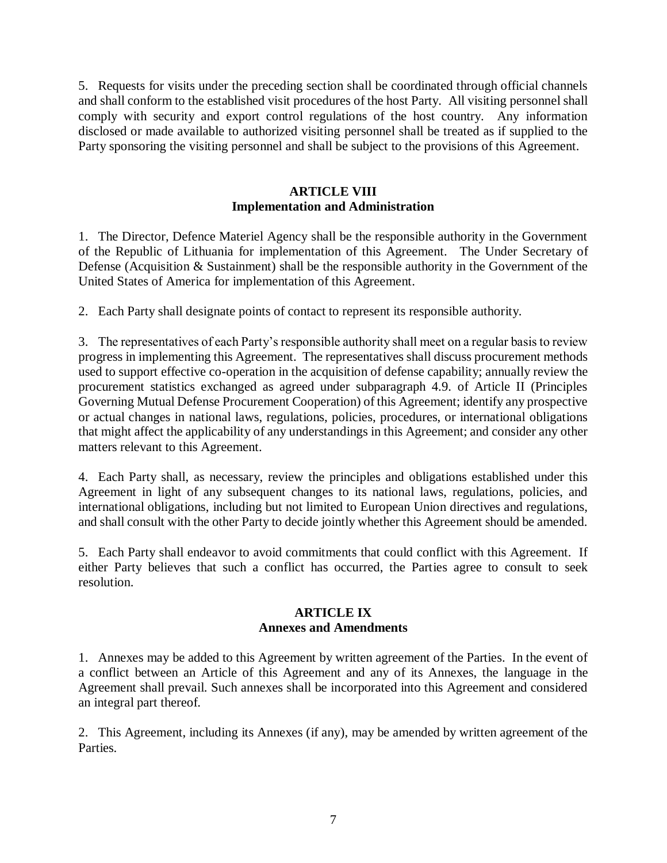5. Requests for visits under the preceding section shall be coordinated through official channels and shall conform to the established visit procedures of the host Party. All visiting personnel shall comply with security and export control regulations of the host country. Any information disclosed or made available to authorized visiting personnel shall be treated as if supplied to the Party sponsoring the visiting personnel and shall be subject to the provisions of this Agreement.

## **ARTICLE VIII Implementation and Administration**

1. The Director, Defence Materiel Agency shall be the responsible authority in the Government of the Republic of Lithuania for implementation of this Agreement. The Under Secretary of Defense (Acquisition & Sustainment) shall be the responsible authority in the Government of the United States of America for implementation of this Agreement.

2. Each Party shall designate points of contact to represent its responsible authority.

3. The representatives of each Party's responsible authority shall meet on a regular basis to review progress in implementing this Agreement. The representatives shall discuss procurement methods used to support effective co-operation in the acquisition of defense capability; annually review the procurement statistics exchanged as agreed under subparagraph 4.9. of Article II (Principles Governing Mutual Defense Procurement Cooperation) of this Agreement; identify any prospective or actual changes in national laws, regulations, policies, procedures, or international obligations that might affect the applicability of any understandings in this Agreement; and consider any other matters relevant to this Agreement.

4. Each Party shall, as necessary, review the principles and obligations established under this Agreement in light of any subsequent changes to its national laws, regulations, policies, and international obligations, including but not limited to European Union directives and regulations, and shall consult with the other Party to decide jointly whether this Agreement should be amended.

5. Each Party shall endeavor to avoid commitments that could conflict with this Agreement. If either Party believes that such a conflict has occurred, the Parties agree to consult to seek resolution.

## **ARTICLE IX Annexes and Amendments**

1. Annexes may be added to this Agreement by written agreement of the Parties. In the event of a conflict between an Article of this Agreement and any of its Annexes, the language in the Agreement shall prevail. Such annexes shall be incorporated into this Agreement and considered an integral part thereof.

2. This Agreement, including its Annexes (if any), may be amended by written agreement of the Parties.